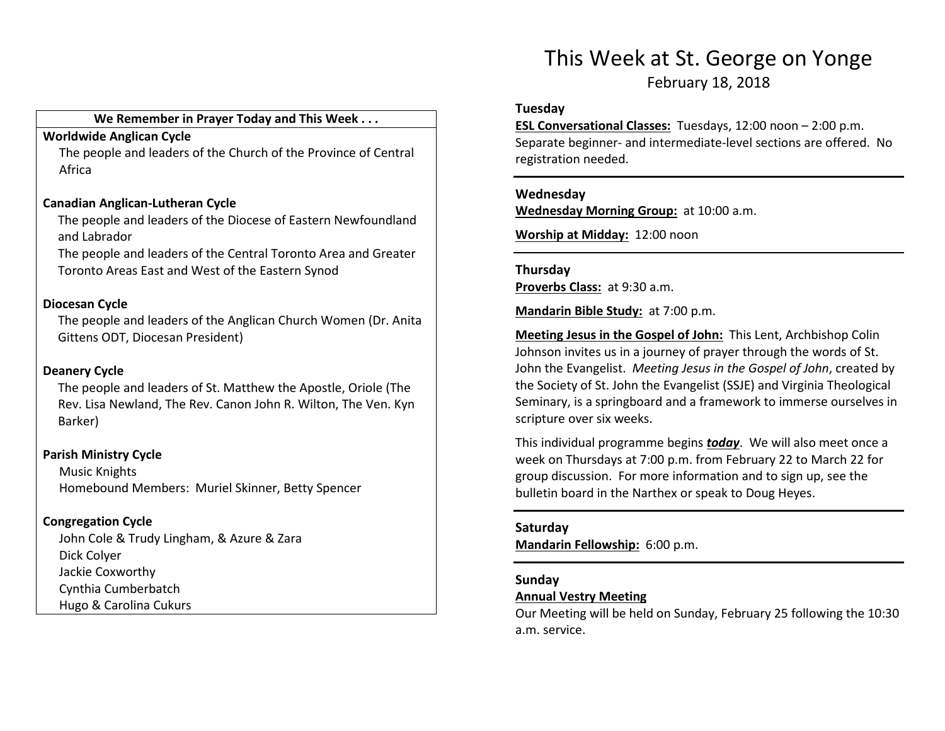#### We Remember in Prayer Today and This Week . . .

## Worldwide Anglican Cycle

 The people and leaders of the Church of the Province of Central Africa

#### Canadian Anglican-Lutheran Cycle

The people and leaders of the Diocese of Eastern Newfoundland and Labrador

The people and leaders of the Central Toronto Area and Greater Toronto Areas East and West of the Eastern Synod

## Diocesan Cycle

The people and leaders of the Anglican Church Women (Dr. Anita Gittens ODT, Diocesan President)

### Deanery Cycle

 The people and leaders of St. Matthew the Apostle, Oriole (The Rev. Lisa Newland, The Rev. Canon John R. Wilton, The Ven. Kyn Barker)

## Parish Ministry Cycle

Music Knights Homebound Members: Muriel Skinner, Betty Spencer

## Congregation Cycle

John Cole & Trudy Lingham, & Azure & Zara Dick Colyer Jackie Coxworthy Cynthia Cumberbatch Hugo & Carolina Cukurs

## This Week at St. George on Yonge

February 18, 2018

#### Tuesday

ESL Conversational Classes: Tuesdays, 12:00 noon – 2:00 p.m. Separate beginner- and intermediate-level sections are offered. No registration needed.

#### Wednesday

Wednesday Morning Group: at 10:00 a.m.

Worship at Midday: 12:00 noon

## Thursday Proverbs Class: at 9:30 a.m.

Mandarin Bible Study: at 7:00 p.m.

Meeting Jesus in the Gospel of John: This Lent, Archbishop Colin Johnson invites us in a journey of prayer through the words of St. John the Evangelist. Meeting Jesus in the Gospel of John, created by the Society of St. John the Evangelist (SSJE) and Virginia Theological Seminary, is a springboard and a framework to immerse ourselves in scripture over six weeks.

This individual programme begins today. We will also meet once a week on Thursdays at 7:00 p.m. from February 22 to March 22 for group discussion. For more information and to sign up, see the bulletin board in the Narthex or speak to Doug Heyes.

#### Saturday

Mandarin Fellowship: 6:00 p.m.

## Sunday

#### Annual Vestry Meeting

Our Meeting will be held on Sunday, February 25 following the 10:30 a.m. service.